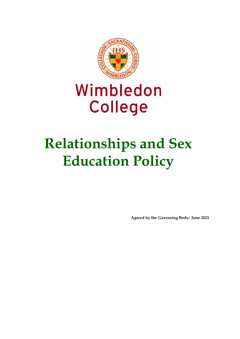

# Wimbledon **College**

# **Relationships and Sex Education Policy**

**Agreed by the Governing Body: June 2021**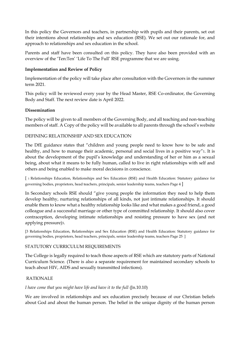In this policy the Governors and teachers, in partnership with pupils and their parents, set out their intentions about relationships and sex education (RSE). We set out our rationale for, and approach to relationships and sex education in the school.

Parents and staff have been consulted on this policy. They have also been provided with an overview of the 'Ten:Ten' 'Life To The Full' RSE programme that we are using.

## **Implementation and Review of Policy**

Implementation of the policy will take place after consultation with the Governors in the summer term 2021.

This policy will be reviewed every year by the Head Master, RSE Co-ordinator, the Governing Body and Staff. The next review date is April 2022.

## **Dissemination**

The policy will be given to all members of the Governing Body, and all teaching and non-teaching members of staff. A Copy of the policy will be available to all parents through the school's website

## DEFINING RELATIONSHIP AND SEX EDUCATION

The DfE guidance states that "children and young people need to know how to be safe and healthy, and how to manage their academic, personal and social lives in a positive way"1. It is about the development of the pupil's knowledge and understanding of her or him as a sexual being, about what it means to be fully human, called to live in right relationships with self and others and being enabled to make moral decisions in conscience.

[ 1 Relationships Education, Relationships and Sex Education (RSE) and Health Education: Statutory guidance for governing bodies, proprietors, head teachers, principals, senior leadership teams, teachers Page 4 ]

In Secondary schools RSE should "give young people the information they need to help them develop healthy, nurturing relationships of all kinds, not just intimate relationships. It should enable them to know what a healthy relationship looks like and what makes a good friend, a good colleague and a successful marriage or other type of committed relationship. It should also cover contraception, developing intimate relationships and resisting pressure to have sex (and not applying pressure)3.

[3 Relationships Education, Relationships and Sex Education (RSE) and Health Education: Statutory guidance for governing bodies, proprietors, head teachers, principals, senior leadership teams, teachers Page 25 ]

## STATUTORY CURRICULUM REQUIREMENTS

The College is legally required to teach those aspects of RSE which are statutory parts of National Curriculum Science. (There is also a separate requirement for maintained secondary schools to teach about HIV, AIDS and sexually transmitted infections).

## RATIONALE

## *I have come that you might have life and have it to the full* (Jn.10.10)

We are involved in relationships and sex education precisely because of our Christian beliefs about God and about the human person. The belief in the unique dignity of the human person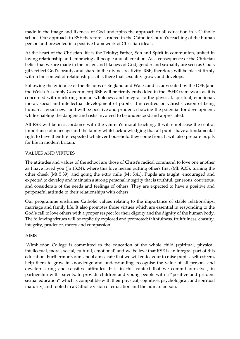made in the image and likeness of God underpins the approach to all education in a Catholic school. Our approach to RSE therefore is rooted in the Catholic Church's teaching of the human person and presented in a positive framework of Christian ideals.

At the heart of the Christian life is the Trinity; Father, Son and Spirit in communion, united in loving relationship and embracing all people and all creation. As a consequence of the Christian belief that we are made in the image and likeness of God, gender and sexuality are seen as God's gift, reflect God's beauty, and share in the divine creativity. RSE, therefore, will be placed firmly within the context of relationship as it is there that sexuality grows and develops.

Following the guidance of the Bishops of England and Wales and as advocated by the DFE (and the Welsh Assembly Government) RSE will be firmly embedded in the PSHE framework as it is concerned with nurturing human wholeness and integral to the physical, spiritual, emotional, moral, social and intellectual development of pupils. It is centred on Christ's vision of being human as good news and will be positive and prudent, showing the potential for development, while enabling the dangers and risks involved to be understood and appreciated.

All RSE will be in accordance with the Church's moral teaching. It will emphasise the central importance of marriage and the family whilst acknowledging that all pupils have a fundamental right to have their life respected whatever household they come from. It will also prepare pupils for life in modern Britain.

# VALUES AND VIRTUES

The attitudes and values of the school are those of Christ's radical command to love one another as I have loved you (Jn 13:34), where this love means putting others first (Mk 9:35), turning the other cheek (Mt 5:39), and going the extra mile (Mt 5:41). Pupils are taught, encouraged and expected to develop and maintain a strong personal integrity that is truthful, generous, courteous, and considerate of the needs and feelings of others. They are expected to have a positive and purposeful attitude to their relationships with others.

Our programme enshrines Catholic values relating to the importance of stable relationships, marriage and family life. It also promotes those virtues which are essential in responding to the God's call to love others with a proper respect for their dignity and the dignity of the human body. The following virtues will be explicitly explored and promoted: faithfulness, fruitfulness, chastity, integrity, prudence, mercy and compassion.

## AIMS

Wimbledon College is committed to the education of the whole child (spiritual, physical, intellectual, moral, social, cultural, emotional) and we believe that RSE is an integral part of this education. Furthermore, our school aims state that we will endeavour to raise pupils' self-esteem, help them to grow in knowledge and understanding, recognise the value of all persons and develop caring and sensitive attitudes. It is in this context that we commit ourselves, in partnership with parents, to provide children and young people with a "positive and prudent sexual education" which is compatible with their physical, cognitive, psychological, and spiritual maturity, and rooted in a Catholic vision of education and the human person.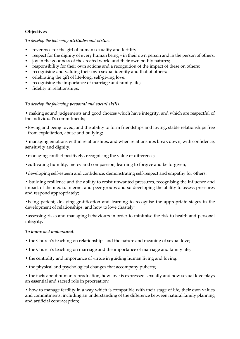# **Objectives**

#### *To develop the following attitudes and virtues:*

- reverence for the gift of human sexuality and fertility.
- respect for the dignity of every human being in their own person and in the person of others;
- joy in the goodness of the created world and their own bodily natures;
- responsibility for their own actions and a recognition of the impact of these on others;
- recognising and valuing their own sexual identity and that of others;
- celebrating the gift of life-long, self-giving love;
- recognising the importance of marriage and family life;
- fidelity in relationships.

# *To develop the following personal and social skills:*

• making sound judgements and good choices which have integrity, and which are respectful of the individual's commitments;

- loving and being loved, and the ability to form friendships and loving, stable relationships free from exploitation, abuse and bullying;
- managing emotions within relationships, and when relationships break down, with confidence, sensitivity and dignity;
- managing conflict positively, recognising the value of difference;
- •cultivating humility, mercy and compassion, learning to forgive and be forgiven;
- •developing self-esteem and confidence, demonstrating self-respect and empathy for others;

• building resilience and the ability to resist unwanted pressures, recognising the influence and impact of the media, internet and peer groups and so developing the ability to assess pressures and respond appropriately;

•being patient, delaying gratification and learning to recognise the appropriate stages in the development of relationships, and how to love chastely;

•assessing risks and managing behaviours in order to minimise the risk to health and personal integrity.

## *To know and understand:*

- the Church's teaching on relationships and the nature and meaning of sexual love;
- the Church's teaching on marriage and the importance of marriage and family life;
- the centrality and importance of virtue in guiding human living and loving;
- the physical and psychological changes that accompany puberty;

• the facts about human reproduction, how love is expressed sexually and how sexual love plays an essential and sacred role in procreation;

• how to manage fertility in a way which is compatible with their stage of life, their own values and commitments, including an understanding of the difference between natural family planning and artificial contraception;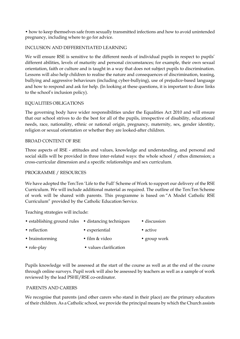• how to keep themselves safe from sexually transmitted infections and how to avoid unintended pregnancy, including where to go for advice.

## INCLUSION AND DIFFERENTIATED LEARNING

We will ensure RSE is sensitive to the different needs of individual pupils in respect to pupils' different abilities, levels of maturity and personal circumstances; for example, their own sexual orientation, faith or culture and is taught in a way that does not subject pupils to discrimination. Lessons will also help children to realise the nature and consequences of discrimination, teasing, bullying and aggressive behaviours (including cyber-bullying), use of prejudice-based language and how to respond and ask for help. (In looking at these questions, it is important to draw links to the school's inclusion policy).

## EQUALITIES OBLIGATIONS

The governing body have wider responsibilities under the Equalities Act 2010 and will ensure that our school strives to do the best for all of the pupils, irrespective of disability, educational needs, race, nationality, ethnic or national origin, pregnancy, maternity, sex, gender identity, religion or sexual orientation or whether they are looked-after children.

## BROAD CONTENT OF RSE

Three aspects of RSE - attitudes and values, knowledge and understanding, and personal and social skills will be provided in three inter-related ways: the whole school / ethos dimension; a cross-curricular dimension and a specific relationships and sex curriculum.

## PROGRAMME / RESOURCES

We have adopted the Ten:Ten 'Life to the Full' Scheme of Work to support our delivery of the RSE Curriculum. We will include additional material as required. The outline of the Ten:Ten Scheme of work will be shared with parents. This programme is based on "[A Model Catholic RSE](https://www.catholiceducation.org.uk/schools/relationship-sex-education)  [Curriculum"](https://www.catholiceducation.org.uk/schools/relationship-sex-education) provided by the Catholic Education Service.

Teaching strategies will include:

| • establishing ground rules • distancing techniques |                        | · discussion |
|-----------------------------------------------------|------------------------|--------------|
| • reflection                                        | • experiential         | • active     |
| • brainstorming                                     | • film & video         | • group work |
| $\bullet$ role-play                                 | • values clarification |              |

Pupils knowledge will be assessed at the start of the course as well as at the end of the course through online surveys. Pupil work will also be assessed by teachers as well as a sample of work reviewed by the lead PSHE/RSE co-ordinator.

## PARENTS AND CARERS

We recognise that parents (and other carers who stand in their place) are the primary educators of their children. As a Catholic school, we provide the principal means by which the Church assists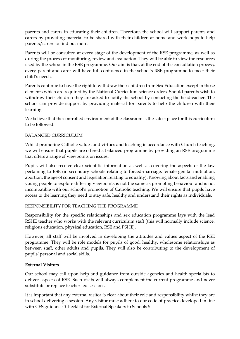parents and carers in educating their children. Therefore, the school will support parents and carers by providing material to be shared with their children at home and workshops to help parents/carers to find out more.

Parents will be consulted at every stage of the development of the RSE programme, as well as during the process of monitoring, review and evaluation. They will be able to view the resources used by the school in the RSE programme. Our aim is that, at the end of the consultation process, every parent and carer will have full confidence in the school's RSE programme to meet their child's needs.

Parents continue to have the right to withdraw their children from Sex Education except in those elements which are required by the National Curriculum science orders. Should parents wish to withdraw their children they are asked to notify the school by contacting the headteacher. The school can provide support by providing material for parents to help the children with their learning.

We believe that the controlled environment of the classroom is the safest place for this curriculum to be followed.

## BALANCED CURRICULUM

Whilst promoting Catholic values and virtues and teaching in accordance with Church teaching, we will ensure that pupils are offered a balanced programme by providing an RSE programme that offers a range of viewpoints on issues.

Pupils will also receive clear scientific information as well as covering the aspects of the law pertaining to RSE (in secondary schools relating to forced-marriage, female genital mutilation, abortion, the age of consent and legislation relating to equality). Knowing about facts and enabling young people to explore differing viewpoints is not the same as promoting behaviour and is not incompatible with our school's promotion of Catholic teaching. We will ensure that pupils have access to the learning they need to stay safe, healthy and understand their rights as individuals.

## RESPONSIBILITY FOR TEACHING THE PROGRAMME

Responsibility for the specific relationships and sex education programme lays with the lead RSHE teacher who works with the relevant curriculum staff [this will normally include science, religious education, physical education, RSE and PSHE].

However, all staff will be involved in developing the attitudes and values aspect of the RSE programme. They will be role models for pupils of good, healthy, wholesome relationships as between staff, other adults and pupils. They will also be contributing to the development of pupils' personal and social skills.

## **External Visitors**

Our school may call upon help and guidance from outside agencies and health specialists to deliver aspects of RSE. Such visits will always complement the current programme and never substitute or replace teacher led sessions.

It is important that any external visitor is clear about their role and responsibility whilst they are in school delivering a session. Any visitor must adhere to our code of practice developed in line with CES guidance 'Checklist for External Speakers to Schools 5.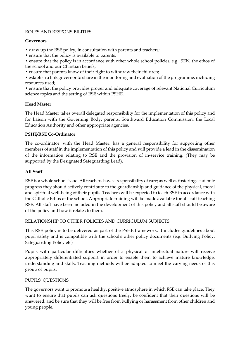#### ROLES AND RESPONSIBILITIES

#### **Governors**

- draw up the RSE policy, in consultation with parents and teachers;
- ensure that the policy is available to parents;

• ensure that the policy is in accordance with other whole school policies, e.g., SEN, the ethos of the school and our Christian beliefs;

• ensure that parents know of their right to withdraw their children;

• establish a link governor to share in the monitoring and evaluation of the programme, including resources used;

• ensure that the policy provides proper and adequate coverage of relevant National Curriculum science topics and the setting of RSE within PSHE.

## **Head Master**

The Head Master takes overall delegated responsibility for the implementation of this policy and for liaison with the Governing Body, parents, Southward Education Commission, the Local Education Authority and other appropriate agencies.

# **PSHE/RSE Co-Ordinator**

The co-ordinator, with the Head Master, has a general responsibility for supporting other members of staff in the implementation of this policy and will provide a lead in the dissemination of the information relating to RSE and the provision of in-service training. (They may be supported by the Designated Safeguarding Lead).

# **All Staff**

RSE is a whole school issue. All teachers have a responsibility of care; as well as fostering academic progress they should actively contribute to the guardianship and guidance of the physical, moral and spiritual well-being of their pupils. Teachers will be expected to teach RSE in accordance with the Catholic Ethos of the school. Appropriate training will be made available for all staff teaching RSE. All staff have been included in the development of this policy and all staff should be aware of the policy and how it relates to them.

## RELATIONSHIP TO OTHER POLICIES AND CURRICULUM SUBJECTS

This RSE policy is to be delivered as part of the PSHE framework. It includes guidelines about pupil safety and is compatible with the school's other policy documents (e.g. Bullying Policy, Safeguarding Policy etc)

Pupils with particular difficulties whether of a physical or intellectual nature will receive appropriately differentiated support in order to enable them to achieve mature knowledge, understanding and skills. Teaching methods will be adapted to meet the varying needs of this group of pupils.

## PUPILS' QUESTIONS

The governors want to promote a healthy, positive atmosphere in which RSE can take place. They want to ensure that pupils can ask questions freely, be confident that their questions will be answered, and be sure that they will be free from bullying or harassment from other children and young people.